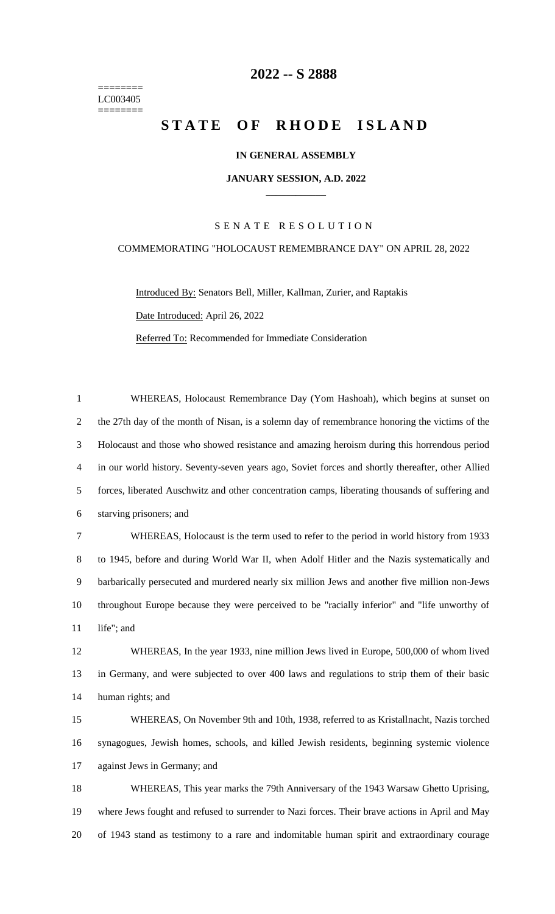======== LC003405 ========

## **-- S 2888**

# **STATE OF RHODE ISLAND**

### **IN GENERAL ASSEMBLY**

#### **JANUARY SESSION, A.D. 2022 \_\_\_\_\_\_\_\_\_\_\_\_**

### S E N A T E R E S O L U T I O N

## COMMEMORATING "HOLOCAUST REMEMBRANCE DAY" ON APRIL 28, 2022

Introduced By: Senators Bell, Miller, Kallman, Zurier, and Raptakis Date Introduced: April 26, 2022 Referred To: Recommended for Immediate Consideration

 WHEREAS, Holocaust Remembrance Day (Yom Hashoah), which begins at sunset on the 27th day of the month of Nisan, is a solemn day of remembrance honoring the victims of the Holocaust and those who showed resistance and amazing heroism during this horrendous period in our world history. Seventy-seven years ago, Soviet forces and shortly thereafter, other Allied forces, liberated Auschwitz and other concentration camps, liberating thousands of suffering and starving prisoners; and WHEREAS, Holocaust is the term used to refer to the period in world history from 1933 to 1945, before and during World War II, when Adolf Hitler and the Nazis systematically and barbarically persecuted and murdered nearly six million Jews and another five million non-Jews throughout Europe because they were perceived to be "racially inferior" and "life unworthy of 11 life"; and WHEREAS, In the year 1933, nine million Jews lived in Europe, 500,000 of whom lived

 in Germany, and were subjected to over 400 laws and regulations to strip them of their basic human rights; and

 WHEREAS, On November 9th and 10th, 1938, referred to as Kristallnacht, Nazis torched synagogues, Jewish homes, schools, and killed Jewish residents, beginning systemic violence against Jews in Germany; and

 WHEREAS, This year marks the 79th Anniversary of the 1943 Warsaw Ghetto Uprising, where Jews fought and refused to surrender to Nazi forces. Their brave actions in April and May of 1943 stand as testimony to a rare and indomitable human spirit and extraordinary courage